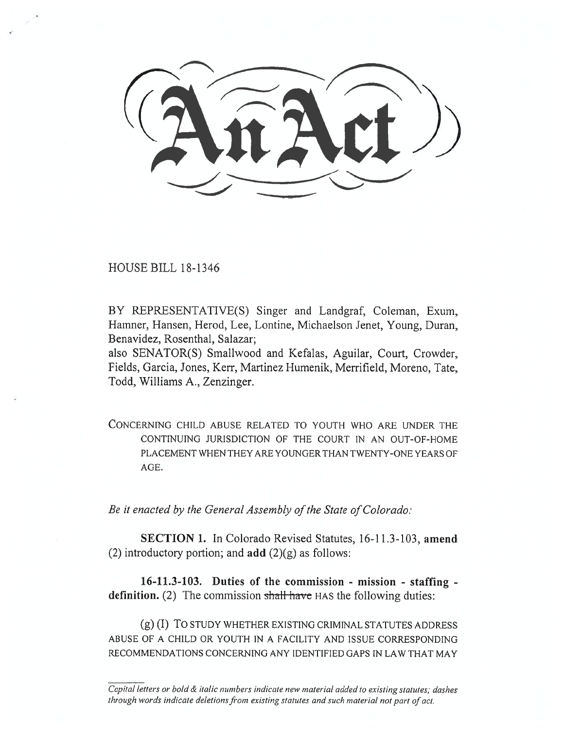HOUSE BILL 18-1346

BY REPRESENTATIVE(S) Singer and Landgraf, Coleman, Exum, Hamner, Hansen, Herod, Lee, Lontine, Michaelson Jenet, Young, Duran, Benavidez, Rosenthal, Salazar;

also SENATOR(S) Smallwood and Kefalas, Aguilar, Court, Crowder, Fields, Garcia, Jones, Kerr, Martinez Humenik, Merrifield, Moreno, Tate, Todd, Williams A., Zenzinger.

CONCERNING CHILD ABUSE RELATED TO YOUTH WHO ARE UNDER THE CONTINUING JURISDICTION OF THE COURT IN AN OUT-OF-HOME PLACEMENT WHEN THEY ARE YOUNGER THAN TWENTY-ONE YEARS OF AGE.

*Be it enacted by the General Assembly of the State of Colorado:* 

**SECTION 1.** In Colorado Revised Statutes, 16-11.3-103, **amend**  (2) introductory portion; and  $add(2)(g)$  as follows:

**16-11.3-103. Duties of the commission - mission - staffing**  definition. (2) The commission shall have HAS the following duties:

(g) (I) TO STUDY WHETHER EXISTING CRIMINAL STATUTES ADDRESS ABUSE OF A CHILD OR YOUTH IN A FACILITY AND ISSUE CORRESPONDING RECOMMENDATIONS CONCERNING ANY IDENTIFIED GAPS IN LAW THAT MAY

Capital letters or bold & italic numbers indicate new material added to existing statutes; dashes through words indicate deletions from existing statutes and such material not part of act.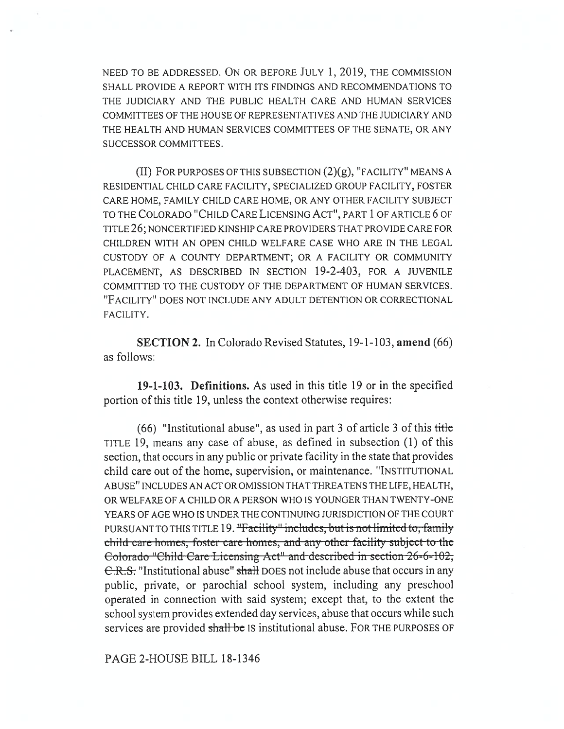NEED TO BE ADDRESSED. ON OR BEFORE JULY 1, 2019, THE COMMISSION SHALL PROVIDE A REPORT WITH ITS FINDINGS AND RECOMMENDATIONS TO THE JUDICIARY AND THE PUBLIC HEALTH CARE AND HUMAN SERVICES COMMITTEES OF THE HOUSE OF REPRESENTATIVES AND THE JUDICIARY AND THE HEALTH AND HUMAN SERVICES COMMITTEES OF THE SENATE, OR ANY SUCCESSOR COMMITTEES.

(II) FOR PURPOSES OF THIS SUBSECTION  $(2)(g)$ , "FACILITY" MEANS A RESIDENTIAL CHILD CARE FACILITY, SPECIALIZED GROUP FACILITY, FOSTER CARE HOME, FAMILY CHILD CARE HOME, OR ANY OTHER FACILITY SUBJECT TO THE COLORADO "CHILD CARE LICENSING ACT", PART 1 OF ARTICLE 6 OF TITLE 26; NONCERTIFIED KINSHIP CARE PROVIDERS THAT PROVIDE CARE FOR CHILDREN WITH AN OPEN CHILD WELFARE CASE WHO ARE IN THE LEGAL CUSTODY OF A COUNTY DEPARTMENT; OR A FACILITY OR COMMUNITY PLACEMENT, AS DESCRIBED IN SECTION 19-2-403, FOR A JUVENILE COMMITTED TO THE CUSTODY OF THE DEPARTMENT OF HUMAN SERVICES. "FACILITY" DOES NOT INCLUDE ANY ADULT DETENTION OR CORRECTIONAL FACILITY.

**SECTION 2.** In Colorado Revised Statutes, 19-1-103, **amend** (66) as follows:

**19-1-103. Definitions.** As used in this title 19 or in the specified portion of this title 19, unless the context otherwise requires:

(66) "Institutional abuse", as used in part 3 of article 3 of this title TITLE 19, means any case of abuse, as defined in subsection (1) of this section, that occurs in any public or private facility in the state that provides child care out of the home, supervision, or maintenance. "INSTITUTIONAL ABUSE" INCLUDES AN ACT OR OMISSION THAT THREATENS THE LIFE, HEALTH, OR WELFARE OF A CHILD OR A PERSON WHO IS YOUNGER THAN TWENTY-ONE YEARS OF AGE WHO IS UNDER THE CONTINUING JURISDICTION OF THE COURT PURSUANT TO THIS TITLE 19. "Facility" includes, but is not limited to, family . child care homes, foster care homes, and any other facility subject to the Eolorado "Child Care Licensing Act" and described in section 26-6-102, C.R.S. "Institutional abuse" shall DOES not include abuse that occurs in any public, private, or parochial school system, including any preschool operated in connection with said system; except that, to the extent the school system provides extended day services, abuse that occurs while such services are provided shall be IS institutional abuse. FOR THE PURPOSES OF

PAGE 2-HOUSE BILL 18-1346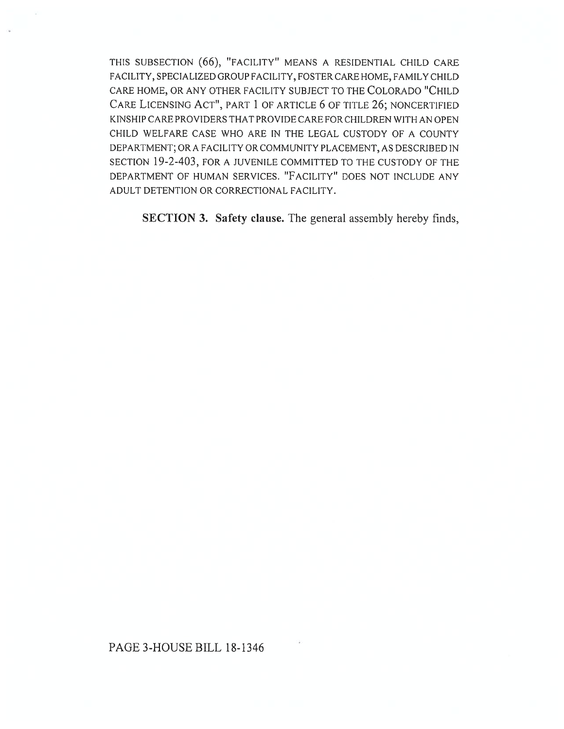THIS SUBSECTION (66), "FACILITY" MEANS A RESIDENTIAL CHILD CARE FACILITY, SPECIALIZED GROUP FACILITY, FOSTER CARE HOME, FAMILY CHILD CARE HOME, OR ANY OTHER FACILITY SUBJECT TO THE COLORADO "CHILD CARE LICENSING ACT", PART 1 OF ARTICLE 6 OF TITLE 26; NONCERTIFIED KINSHIP CARE PROVIDERS THAT PROVIDE CARE FOR CHILDREN WITH AN OPEN CHILD WELFARE CASE WHO ARE IN THE LEGAL CUSTODY OF A COUNTY DEPARTMENT; OR A FACILITY OR COMMUNITY PLACEMENT, AS DESCRIBED IN SECTION 19-2-403, FOR A JUVENILE COMMITTED TO THE CUSTODY OF THE DEPARTMENT OF HUMAN SERVICES. "FACILITY" DOES NOT INCLUDE ANY ADULT DETENTION OR CORRECTIONAL FACILITY.

SECTION 3. Safety clause. The general assembly hereby finds,

## PAGE 3-HOUSE BILL 18-1346